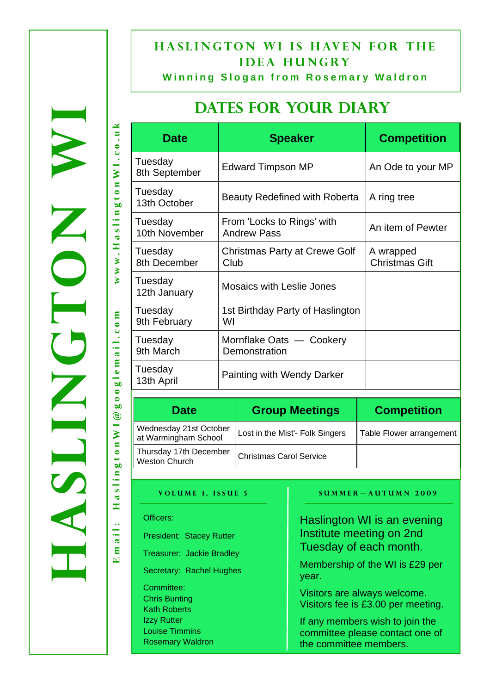## **HASLINGTON WI IS HAVEN FOR THE idea hungry**

**Winning Slogan from Rosemary Waldron**

## **DATES FOR YOUR DIARY**

| <b>Date</b>              | <b>Speaker</b>                                   | <b>Competition</b>                 |  |
|--------------------------|--------------------------------------------------|------------------------------------|--|
| Tuesday<br>8th September | Edward Timpson MP                                | An Ode to your MP                  |  |
| Tuesday<br>13th October  | Beauty Redefined with Roberta                    | A ring tree                        |  |
| Tuesday<br>10th November | From 'Locks to Rings' with<br><b>Andrew Pass</b> | An item of Pewter                  |  |
| Tuesday<br>8th December  | <b>Christmas Party at Crewe Golf</b><br>Club     | A wrapped<br><b>Christmas Gift</b> |  |
| Tuesday<br>12th January  | <b>Mosaics with Leslie Jones</b>                 |                                    |  |
| Tuesday<br>9th February  | 1st Birthday Party of Haslington<br>WI           |                                    |  |
| Tuesday<br>9th March     | Mornflake Oats — Cookery<br>Demonstration        |                                    |  |
| Tuesday<br>13th April    | <b>Painting with Wendy Darker</b>                |                                    |  |
|                          |                                                  |                                    |  |

| <b>Date</b>                                    | <b>Group Meetings</b>           | <b>Competition</b>       |
|------------------------------------------------|---------------------------------|--------------------------|
| Wednesday 21st October<br>at Warmingham School | Lost in the Mist'- Folk Singers | Table Flower arrangement |
| Thursday 17th December<br>Weston Church        | <b>Christmas Carol Service</b>  |                          |

#### **VOLUME 1, ISSUE 5 SUMMER-AUTUMN 2009**

| Officers:                                   | Haslington WI is an evening              |
|---------------------------------------------|------------------------------------------|
| <b>President: Stacey Rutter</b>             | Institute meeting on 2nd                 |
| <b>Treasurer: Jackie Bradley</b>            | Tuesday of each month.                   |
| Secretary: Rachel Hughes                    | Membership of the WI is £29 per<br>year. |
| Committee:                                  | Visitors are always welcome.             |
| <b>Chris Bunting</b><br><b>Kath Roberts</b> | Visitors fee is £3.00 per meeting.       |
| <b>Izzy Rutter</b>                          | If any members wish to join the          |
| <b>Louise Timmins</b>                       | committee please contact one of          |
| <b>Rosemary Waldron</b>                     | the committee members.                   |

**Email: HaslingtonWI@googlemail.com www.HaslingtonWI.co.uk**  www.HaslingtonWI.co.uk googlemail.com Haslington WI@ ail:  $E$  m  $i$ 

WORCH NRISH

ASLINGTON X